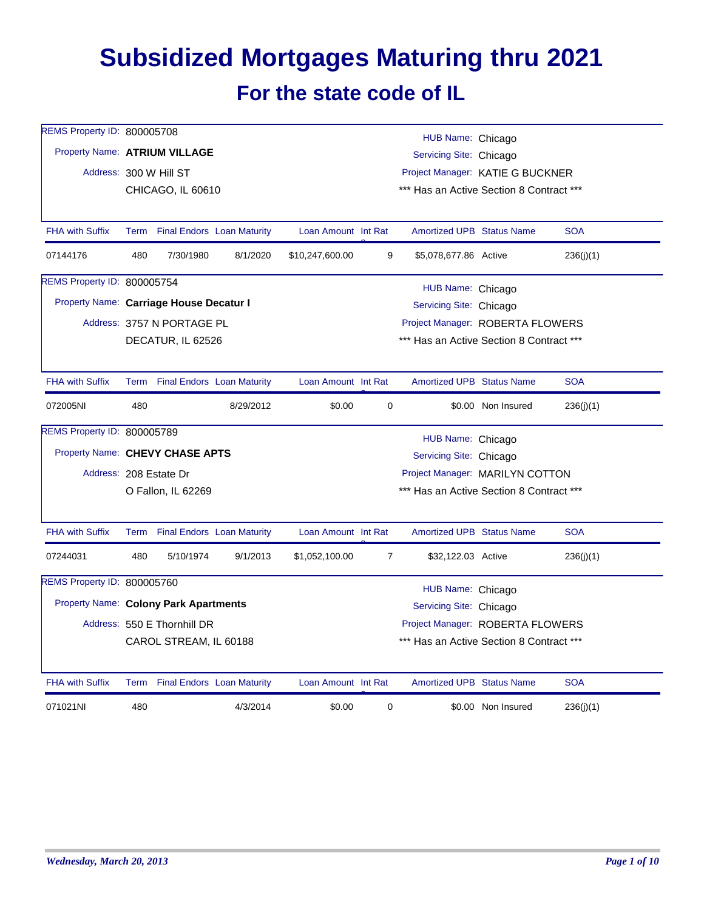## **Subsidized Mortgages Maturing thru 2021 For the state code of IL**

| REMS Property ID: 800005708                  |      |                                   |           |                     |                                          | HUB Name: Chicago                        |                    |            |  |
|----------------------------------------------|------|-----------------------------------|-----------|---------------------|------------------------------------------|------------------------------------------|--------------------|------------|--|
| Property Name: ATRIUM VILLAGE                |      |                                   |           |                     |                                          | Servicing Site: Chicago                  |                    |            |  |
|                                              |      | Address: 300 W Hill ST            |           |                     |                                          | Project Manager: KATIE G BUCKNER         |                    |            |  |
|                                              |      | CHICAGO, IL 60610                 |           |                     |                                          | *** Has an Active Section 8 Contract *** |                    |            |  |
|                                              |      |                                   |           |                     |                                          |                                          |                    |            |  |
| <b>FHA with Suffix</b>                       |      | Term Final Endors Loan Maturity   |           | Loan Amount Int Rat |                                          | <b>Amortized UPB Status Name</b>         |                    | <b>SOA</b> |  |
| 07144176                                     | 480  | 7/30/1980                         | 8/1/2020  | \$10,247,600.00     | 9                                        | \$5,078,677.86 Active                    |                    | 236(i)(1)  |  |
| REMS Property ID: 800005754                  |      |                                   |           |                     |                                          | HUB Name: Chicago                        |                    |            |  |
| Property Name: Carriage House Decatur I      |      |                                   |           |                     |                                          | Servicing Site: Chicago                  |                    |            |  |
|                                              |      | Address: 3757 N PORTAGE PL        |           |                     |                                          | Project Manager: ROBERTA FLOWERS         |                    |            |  |
|                                              |      | DECATUR, IL 62526                 |           |                     |                                          | *** Has an Active Section 8 Contract *** |                    |            |  |
|                                              |      |                                   |           |                     |                                          |                                          |                    |            |  |
| <b>FHA with Suffix</b>                       | Term | <b>Final Endors Loan Maturity</b> |           | Loan Amount Int Rat |                                          | <b>Amortized UPB Status Name</b>         |                    | <b>SOA</b> |  |
| 072005NI                                     | 480  |                                   | 8/29/2012 | \$0.00              | 0                                        |                                          | \$0.00 Non Insured | 236(j)(1)  |  |
| REMS Property ID: 800005789                  |      |                                   |           |                     |                                          | HUB Name: Chicago                        |                    |            |  |
| Property Name: CHEVY CHASE APTS              |      |                                   |           |                     |                                          | Servicing Site: Chicago                  |                    |            |  |
|                                              |      | Address: 208 Estate Dr            |           |                     |                                          | Project Manager: MARILYN COTTON          |                    |            |  |
|                                              |      | O Fallon, IL 62269                |           |                     | *** Has an Active Section 8 Contract *** |                                          |                    |            |  |
|                                              |      |                                   |           |                     |                                          |                                          |                    |            |  |
| <b>FHA with Suffix</b>                       |      | Term Final Endors Loan Maturity   |           | Loan Amount Int Rat |                                          | <b>Amortized UPB Status Name</b>         |                    | <b>SOA</b> |  |
| 07244031                                     | 480  | 5/10/1974                         | 9/1/2013  | \$1,052,100.00      | $\overline{7}$                           | \$32,122.03 Active                       |                    | 236(j)(1)  |  |
| REMS Property ID: 800005760                  |      |                                   |           |                     |                                          | HUB Name: Chicago                        |                    |            |  |
| <b>Property Name: Colony Park Apartments</b> |      |                                   |           |                     |                                          | Servicing Site: Chicago                  |                    |            |  |
|                                              |      | Address: 550 E Thornhill DR       |           |                     |                                          | Project Manager: ROBERTA FLOWERS         |                    |            |  |
|                                              |      | CAROL STREAM, IL 60188            |           |                     |                                          | *** Has an Active Section 8 Contract *** |                    |            |  |
|                                              |      |                                   |           |                     |                                          |                                          |                    |            |  |
| <b>FHA with Suffix</b>                       |      | Term Final Endors Loan Maturity   |           | Loan Amount Int Rat |                                          | <b>Amortized UPB Status Name</b>         |                    | <b>SOA</b> |  |
| 071021NI                                     | 480  |                                   | 4/3/2014  | \$0.00              | 0                                        |                                          | \$0.00 Non Insured | 236(j)(1)  |  |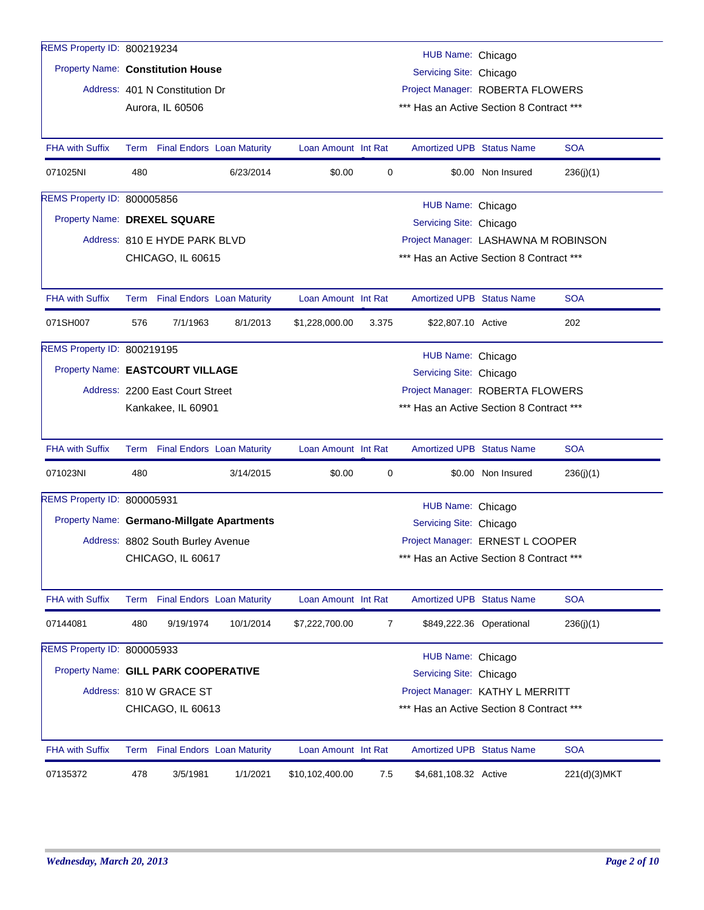| REMS Property ID: 800219234                |      |                                   |           |                     |       |                                              |                          |              |
|--------------------------------------------|------|-----------------------------------|-----------|---------------------|-------|----------------------------------------------|--------------------------|--------------|
| <b>Property Name: Constitution House</b>   |      |                                   |           |                     |       | HUB Name: Chicago<br>Servicing Site: Chicago |                          |              |
|                                            |      | Address: 401 N Constitution Dr    |           |                     |       | Project Manager: ROBERTA FLOWERS             |                          |              |
|                                            |      | Aurora, IL 60506                  |           |                     |       | *** Has an Active Section 8 Contract ***     |                          |              |
|                                            |      |                                   |           |                     |       |                                              |                          |              |
| <b>FHA with Suffix</b>                     |      | Term Final Endors Loan Maturity   |           | Loan Amount Int Rat |       | <b>Amortized UPB Status Name</b>             |                          | <b>SOA</b>   |
| 071025NI                                   | 480  |                                   | 6/23/2014 | \$0.00              | 0     |                                              | \$0.00 Non Insured       | 236(j)(1)    |
| REMS Property ID: 800005856                |      |                                   |           |                     |       | HUB Name: Chicago                            |                          |              |
| Property Name: DREXEL SQUARE               |      |                                   |           |                     |       | Servicing Site: Chicago                      |                          |              |
|                                            |      | Address: 810 E HYDE PARK BLVD     |           |                     |       | Project Manager: LASHAWNA M ROBINSON         |                          |              |
|                                            |      | CHICAGO, IL 60615                 |           |                     |       | *** Has an Active Section 8 Contract ***     |                          |              |
|                                            |      |                                   |           |                     |       |                                              |                          |              |
| <b>FHA with Suffix</b>                     |      | Term Final Endors Loan Maturity   |           | Loan Amount Int Rat |       | <b>Amortized UPB Status Name</b>             |                          | <b>SOA</b>   |
| 071SH007                                   | 576  | 7/1/1963                          | 8/1/2013  | \$1,228,000.00      | 3.375 | \$22,807.10 Active                           |                          | 202          |
| REMS Property ID: 800219195                |      |                                   |           |                     |       | HUB Name: Chicago                            |                          |              |
| Property Name: EASTCOURT VILLAGE           |      |                                   |           |                     |       | Servicing Site: Chicago                      |                          |              |
|                                            |      | Address: 2200 East Court Street   |           |                     |       | Project Manager: ROBERTA FLOWERS             |                          |              |
|                                            |      | Kankakee, IL 60901                |           |                     |       | *** Has an Active Section 8 Contract ***     |                          |              |
|                                            |      |                                   |           |                     |       |                                              |                          |              |
| <b>FHA with Suffix</b>                     |      | Term Final Endors Loan Maturity   |           | Loan Amount Int Rat |       | <b>Amortized UPB Status Name</b>             |                          | <b>SOA</b>   |
| 071023NI                                   | 480  |                                   | 3/14/2015 | \$0.00              | 0     |                                              | \$0.00 Non Insured       | 236(j)(1)    |
| REMS Property ID: 800005931                |      |                                   |           |                     |       | HUB Name: Chicago                            |                          |              |
| Property Name: Germano-Millgate Apartments |      |                                   |           |                     |       | Servicing Site: Chicago                      |                          |              |
|                                            |      | Address: 8802 South Burley Avenue |           |                     |       | Project Manager: ERNEST L COOPER             |                          |              |
|                                            |      | CHICAGO, IL 60617                 |           |                     |       | *** Has an Active Section 8 Contract ***     |                          |              |
|                                            |      |                                   |           |                     |       |                                              |                          |              |
| <b>FHA with Suffix</b>                     |      | Term Final Endors Loan Maturity   |           | Loan Amount Int Rat |       | <b>Amortized UPB Status Name</b>             |                          | <b>SOA</b>   |
| 07144081                                   | 480  | 9/19/1974                         | 10/1/2014 | \$7,222,700.00      | 7     |                                              | \$849,222.36 Operational | 236(j)(1)    |
| REMS Property ID: 800005933                |      |                                   |           |                     |       | HUB Name: Chicago                            |                          |              |
| Property Name: GILL PARK COOPERATIVE       |      |                                   |           |                     |       | Servicing Site: Chicago                      |                          |              |
|                                            |      | Address: 810 W GRACE ST           |           |                     |       | Project Manager: KATHY L MERRITT             |                          |              |
|                                            |      | CHICAGO, IL 60613                 |           |                     |       | *** Has an Active Section 8 Contract ***     |                          |              |
|                                            |      |                                   |           |                     |       |                                              |                          |              |
| FHA with Suffix                            | Term | <b>Final Endors</b> Loan Maturity |           | Loan Amount Int Rat |       | Amortized UPB Status Name                    |                          | <b>SOA</b>   |
| 07135372                                   | 478  | 3/5/1981                          | 1/1/2021  | \$10,102,400.00     | 7.5   | \$4,681,108.32 Active                        |                          | 221(d)(3)MKT |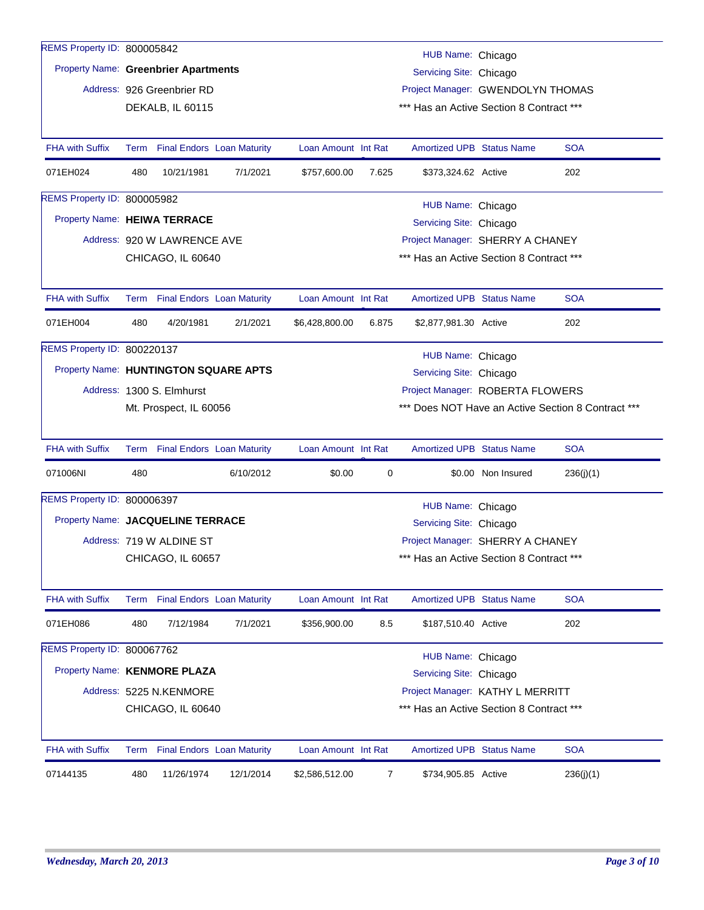| REMS Property ID: 800005842                 |      |                             |                                   |                     |       | HUB Name: Chicago                                                            |                    |                                                    |
|---------------------------------------------|------|-----------------------------|-----------------------------------|---------------------|-------|------------------------------------------------------------------------------|--------------------|----------------------------------------------------|
| <b>Property Name: Greenbrier Apartments</b> |      |                             |                                   |                     |       | Servicing Site: Chicago                                                      |                    |                                                    |
|                                             |      | Address: 926 Greenbrier RD  |                                   |                     |       | Project Manager: GWENDOLYN THOMAS                                            |                    |                                                    |
|                                             |      | DEKALB, IL 60115            |                                   |                     |       | *** Has an Active Section 8 Contract ***                                     |                    |                                                    |
|                                             |      |                             |                                   |                     |       |                                                                              |                    |                                                    |
| <b>FHA with Suffix</b>                      |      |                             | Term Final Endors Loan Maturity   | Loan Amount Int Rat |       | <b>Amortized UPB Status Name</b>                                             |                    | <b>SOA</b>                                         |
| 071EH024                                    | 480  | 10/21/1981                  | 7/1/2021                          | \$757,600.00        | 7.625 | \$373,324.62 Active                                                          |                    | 202                                                |
| REMS Property ID: 800005982                 |      |                             |                                   |                     |       | HUB Name: Chicago                                                            |                    |                                                    |
| Property Name: HEIWA TERRACE                |      |                             |                                   |                     |       | Servicing Site: Chicago                                                      |                    |                                                    |
|                                             |      | Address: 920 W LAWRENCE AVE |                                   |                     |       | Project Manager: SHERRY A CHANEY                                             |                    |                                                    |
|                                             |      | CHICAGO, IL 60640           |                                   |                     |       | *** Has an Active Section 8 Contract ***                                     |                    |                                                    |
|                                             |      |                             |                                   |                     |       |                                                                              |                    |                                                    |
| <b>FHA with Suffix</b>                      |      |                             | Term Final Endors Loan Maturity   | Loan Amount Int Rat |       | <b>Amortized UPB Status Name</b>                                             |                    | <b>SOA</b>                                         |
| 071EH004                                    | 480  | 4/20/1981                   | 2/1/2021                          | \$6,428,800.00      | 6.875 | \$2,877,981.30 Active                                                        |                    | 202                                                |
| REMS Property ID: 800220137                 |      |                             |                                   |                     |       | HUB Name: Chicago                                                            |                    |                                                    |
| Property Name: HUNTINGTON SQUARE APTS       |      |                             |                                   |                     |       | Servicing Site: Chicago                                                      |                    |                                                    |
|                                             |      | Address: 1300 S. Elmhurst   |                                   |                     |       | Project Manager: ROBERTA FLOWERS                                             |                    |                                                    |
|                                             |      | Mt. Prospect, IL 60056      |                                   |                     |       |                                                                              |                    | *** Does NOT Have an Active Section 8 Contract *** |
|                                             |      |                             |                                   |                     |       |                                                                              |                    |                                                    |
|                                             |      |                             |                                   |                     |       |                                                                              |                    |                                                    |
| <b>FHA with Suffix</b>                      |      |                             | Term Final Endors Loan Maturity   | Loan Amount Int Rat |       | <b>Amortized UPB Status Name</b>                                             |                    | <b>SOA</b>                                         |
| 071006NI                                    | 480  |                             | 6/10/2012                         | \$0.00              | 0     |                                                                              | \$0.00 Non Insured | 236(j)(1)                                          |
| REMS Property ID: 800006397                 |      |                             |                                   |                     |       |                                                                              |                    |                                                    |
| Property Name: JACQUELINE TERRACE           |      |                             |                                   |                     |       | HUB Name: Chicago                                                            |                    |                                                    |
|                                             |      | Address: 719 W ALDINE ST    |                                   |                     |       | Servicing Site: Chicago                                                      |                    |                                                    |
|                                             |      | CHICAGO, IL 60657           |                                   |                     |       | Project Manager: SHERRY A CHANEY<br>*** Has an Active Section 8 Contract *** |                    |                                                    |
|                                             |      |                             |                                   |                     |       |                                                                              |                    |                                                    |
| <b>FHA with Suffix</b>                      | Term |                             | <b>Final Endors Loan Maturity</b> | Loan Amount Int Rat |       | <b>Amortized UPB Status Name</b>                                             |                    | <b>SOA</b>                                         |
| 071EH086                                    | 480  | 7/12/1984                   | 7/1/2021                          | \$356,900.00        | 8.5   | \$187,510.40 Active                                                          |                    | 202                                                |
| REMS Property ID: 800067762                 |      |                             |                                   |                     |       |                                                                              |                    |                                                    |
| Property Name: KENMORE PLAZA                |      |                             |                                   |                     |       | HUB Name: Chicago<br>Servicing Site: Chicago                                 |                    |                                                    |
|                                             |      | Address: 5225 N.KENMORE     |                                   |                     |       | Project Manager: KATHY L MERRITT                                             |                    |                                                    |
|                                             |      | CHICAGO, IL 60640           |                                   |                     |       | *** Has an Active Section 8 Contract ***                                     |                    |                                                    |
| <b>FHA with Suffix</b>                      | Term |                             | <b>Final Endors</b> Loan Maturity | Loan Amount Int Rat |       | <b>Amortized UPB Status Name</b>                                             |                    | <b>SOA</b>                                         |
| 07144135                                    | 480  | 11/26/1974                  | 12/1/2014                         | \$2,586,512.00      | 7     | \$734,905.85 Active                                                          |                    | 236(j)(1)                                          |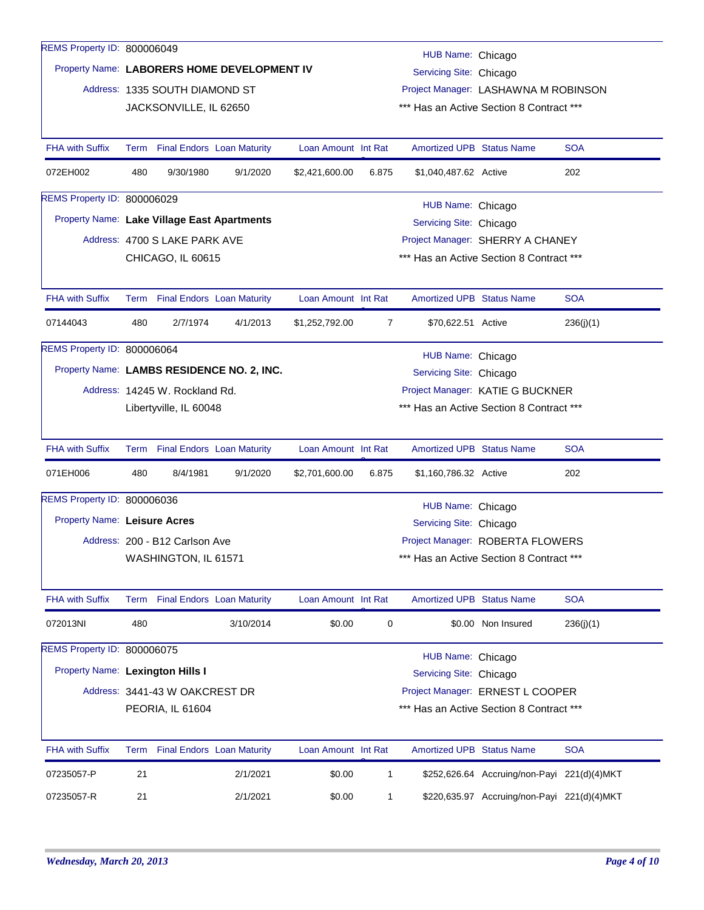| REMS Property ID: 800006049                 |      |                                 |                                             |                     |                |                                          |                                             |            |  |
|---------------------------------------------|------|---------------------------------|---------------------------------------------|---------------------|----------------|------------------------------------------|---------------------------------------------|------------|--|
|                                             |      |                                 |                                             |                     |                | HUB Name: Chicago                        |                                             |            |  |
|                                             |      |                                 | Property Name: LABORERS HOME DEVELOPMENT IV |                     |                | Servicing Site: Chicago                  |                                             |            |  |
|                                             |      | Address: 1335 SOUTH DIAMOND ST  |                                             |                     |                |                                          | Project Manager: LASHAWNA M ROBINSON        |            |  |
|                                             |      | JACKSONVILLE, IL 62650          |                                             |                     |                |                                          | *** Has an Active Section 8 Contract ***    |            |  |
| <b>FHA with Suffix</b>                      |      |                                 | Term Final Endors Loan Maturity             | Loan Amount Int Rat |                | <b>Amortized UPB Status Name</b>         |                                             | <b>SOA</b> |  |
| 072EH002                                    | 480  | 9/30/1980                       | 9/1/2020                                    | \$2,421,600.00      | 6.875          | \$1,040,487.62 Active                    |                                             | 202        |  |
| <b>REMS Property ID: 800006029</b>          |      |                                 |                                             |                     |                | HUB Name: Chicago                        |                                             |            |  |
| Property Name: Lake Village East Apartments |      |                                 |                                             |                     |                | Servicing Site: Chicago                  |                                             |            |  |
|                                             |      | Address: 4700 S LAKE PARK AVE   |                                             |                     |                |                                          | Project Manager: SHERRY A CHANEY            |            |  |
|                                             |      | CHICAGO, IL 60615               |                                             |                     |                | *** Has an Active Section 8 Contract *** |                                             |            |  |
| <b>FHA with Suffix</b>                      |      | Term Final Endors Loan Maturity |                                             | Loan Amount Int Rat |                | <b>Amortized UPB Status Name</b>         |                                             | <b>SOA</b> |  |
| 07144043                                    | 480  | 2/7/1974                        | 4/1/2013                                    | \$1,252,792.00      | $\overline{7}$ | \$70,622.51 Active                       |                                             | 236(j)(1)  |  |
| <b>REMS Property ID: 800006064</b>          |      |                                 |                                             |                     |                | HUB Name: Chicago                        |                                             |            |  |
|                                             |      |                                 | Property Name: LAMBS RESIDENCE NO. 2, INC.  |                     |                | Servicing Site: Chicago                  |                                             |            |  |
|                                             |      | Address: 14245 W. Rockland Rd.  |                                             |                     |                |                                          | Project Manager: KATIE G BUCKNER            |            |  |
|                                             |      | Libertyville, IL 60048          |                                             |                     |                |                                          | *** Has an Active Section 8 Contract ***    |            |  |
| <b>FHA with Suffix</b>                      |      |                                 | Term Final Endors Loan Maturity             | Loan Amount Int Rat |                | <b>Amortized UPB Status Name</b>         |                                             | <b>SOA</b> |  |
| 071EH006                                    | 480  | 8/4/1981                        | 9/1/2020                                    | \$2,701,600.00      | 6.875          | \$1,160,786.32 Active                    |                                             | 202        |  |
| REMS Property ID: 800006036                 |      |                                 |                                             |                     |                | HUB Name: Chicago                        |                                             |            |  |
| <b>Property Name: Leisure Acres</b>         |      |                                 |                                             |                     |                | Servicing Site: Chicago                  |                                             |            |  |
|                                             |      | Address: 200 - B12 Carlson Ave  |                                             |                     |                |                                          | Project Manager: ROBERTA FLOWERS            |            |  |
|                                             |      | WASHINGTON, IL 61571            |                                             |                     |                |                                          | *** Has an Active Section 8 Contract ***    |            |  |
| FHA with Suffix                             | Term |                                 | <b>Final Endors Loan Maturity</b>           | Loan Amount Int Rat |                | Amortized UPB Status Name                |                                             | <b>SOA</b> |  |
| 072013NI                                    | 480  |                                 | 3/10/2014                                   | \$0.00              | 0              |                                          | \$0.00 Non Insured                          | 236(j)(1)  |  |
| REMS Property ID: 800006075                 |      |                                 |                                             |                     |                | HUB Name: Chicago                        |                                             |            |  |
| Property Name: Lexington Hills I            |      |                                 |                                             |                     |                | Servicing Site: Chicago                  |                                             |            |  |
|                                             |      | Address: 3441-43 W OAKCREST DR  |                                             |                     |                |                                          | Project Manager: ERNEST L COOPER            |            |  |
|                                             |      | PEORIA, IL 61604                |                                             |                     |                |                                          | *** Has an Active Section 8 Contract ***    |            |  |
| FHA with Suffix                             |      |                                 | Term Final Endors Loan Maturity             | Loan Amount Int Rat |                | <b>Amortized UPB Status Name</b>         |                                             | <b>SOA</b> |  |
| 07235057-P                                  | 21   |                                 | 2/1/2021                                    | \$0.00              | $\mathbf{1}$   |                                          | \$252,626.64 Accruing/non-Payi 221(d)(4)MKT |            |  |
| 07235057-R                                  | 21   |                                 | 2/1/2021                                    | \$0.00              | $\mathbf{1}$   |                                          | \$220,635.97 Accruing/non-Payi 221(d)(4)MKT |            |  |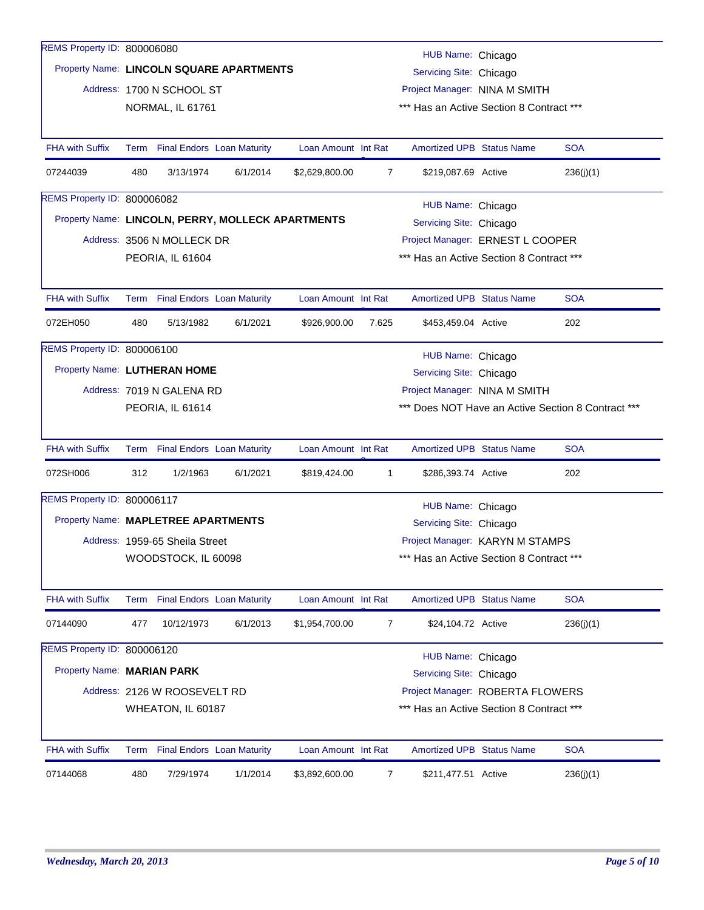| REMS Property ID: 800006080         |     |                                 |                                                   |                     |                |                                          |                                                    |
|-------------------------------------|-----|---------------------------------|---------------------------------------------------|---------------------|----------------|------------------------------------------|----------------------------------------------------|
|                                     |     |                                 | Property Name: LINCOLN SQUARE APARTMENTS          |                     |                | HUB Name: Chicago                        |                                                    |
|                                     |     |                                 |                                                   |                     |                | Servicing Site: Chicago                  |                                                    |
|                                     |     | Address: 1700 N SCHOOL ST       |                                                   |                     |                | Project Manager: NINA M SMITH            |                                                    |
|                                     |     | NORMAL, IL 61761                |                                                   |                     |                | *** Has an Active Section 8 Contract *** |                                                    |
| <b>FHA with Suffix</b>              |     | Term Final Endors Loan Maturity |                                                   | Loan Amount Int Rat |                | Amortized UPB Status Name                | <b>SOA</b>                                         |
|                                     |     |                                 |                                                   |                     |                |                                          |                                                    |
| 07244039                            | 480 | 3/13/1974                       | 6/1/2014                                          | \$2,629,800.00      | $\overline{7}$ | \$219,087.69 Active                      | 236(j)(1)                                          |
| <b>REMS Property ID: 800006082</b>  |     |                                 |                                                   |                     |                | HUB Name: Chicago                        |                                                    |
|                                     |     |                                 | Property Name: LINCOLN, PERRY, MOLLECK APARTMENTS |                     |                | Servicing Site: Chicago                  |                                                    |
|                                     |     | Address: 3506 N MOLLECK DR      |                                                   |                     |                | Project Manager: ERNEST L COOPER         |                                                    |
|                                     |     | PEORIA, IL 61604                |                                                   |                     |                | *** Has an Active Section 8 Contract *** |                                                    |
|                                     |     |                                 |                                                   |                     |                |                                          |                                                    |
| <b>FHA with Suffix</b>              |     | Term Final Endors Loan Maturity |                                                   | Loan Amount Int Rat |                | <b>Amortized UPB Status Name</b>         | <b>SOA</b>                                         |
| 072EH050                            | 480 | 5/13/1982                       | 6/1/2021                                          | \$926,900.00        | 7.625          | \$453,459.04 Active                      | 202                                                |
| REMS Property ID: 800006100         |     |                                 |                                                   |                     |                | HUB Name: Chicago                        |                                                    |
| Property Name: LUTHERAN HOME        |     |                                 |                                                   |                     |                | Servicing Site: Chicago                  |                                                    |
|                                     |     | Address: 7019 N GALENA RD       |                                                   |                     |                | Project Manager: NINA M SMITH            |                                                    |
|                                     |     | PEORIA, IL 61614                |                                                   |                     |                |                                          | *** Does NOT Have an Active Section 8 Contract *** |
|                                     |     |                                 |                                                   |                     |                |                                          |                                                    |
| <b>FHA with Suffix</b>              |     | Term Final Endors Loan Maturity |                                                   | Loan Amount Int Rat |                | <b>Amortized UPB Status Name</b>         | <b>SOA</b>                                         |
| 072SH006                            | 312 | 1/2/1963                        | 6/1/2021                                          | \$819,424.00        | 1              | \$286,393.74 Active                      | 202                                                |
| REMS Property ID: 800006117         |     |                                 |                                                   |                     |                | HUB Name: Chicago                        |                                                    |
| Property Name: MAPLETREE APARTMENTS |     |                                 |                                                   |                     |                | Servicing Site: Chicago                  |                                                    |
|                                     |     | Address: 1959-65 Sheila Street  |                                                   |                     |                | Project Manager: KARYN M STAMPS          |                                                    |
|                                     |     | WOODSTOCK, IL 60098             |                                                   |                     |                | *** Has an Active Section 8 Contract *** |                                                    |
|                                     |     |                                 |                                                   |                     |                |                                          |                                                    |
| <b>FHA with Suffix</b>              |     | Term Final Endors Loan Maturity |                                                   | Loan Amount Int Rat |                | Amortized UPB Status Name                | <b>SOA</b>                                         |
| 07144090                            | 477 | 10/12/1973                      | 6/1/2013                                          | \$1,954,700.00      | 7              | \$24,104.72 Active                       | 236(j)(1)                                          |
| REMS Property ID: 800006120         |     |                                 |                                                   |                     |                | HUB Name: Chicago                        |                                                    |
| Property Name: MARIAN PARK          |     |                                 |                                                   |                     |                | Servicing Site: Chicago                  |                                                    |
|                                     |     | Address: 2126 W ROOSEVELT RD    |                                                   |                     |                | Project Manager: ROBERTA FLOWERS         |                                                    |
|                                     |     | WHEATON, IL 60187               |                                                   |                     |                | *** Has an Active Section 8 Contract *** |                                                    |
|                                     |     |                                 |                                                   |                     |                |                                          |                                                    |
| <b>FHA with Suffix</b>              |     | Term Final Endors Loan Maturity |                                                   | Loan Amount Int Rat |                | <b>Amortized UPB Status Name</b>         | <b>SOA</b>                                         |
| 07144068                            | 480 | 7/29/1974                       | 1/1/2014                                          | \$3,892,600.00      | 7              | \$211,477.51 Active                      | 236(j)(1)                                          |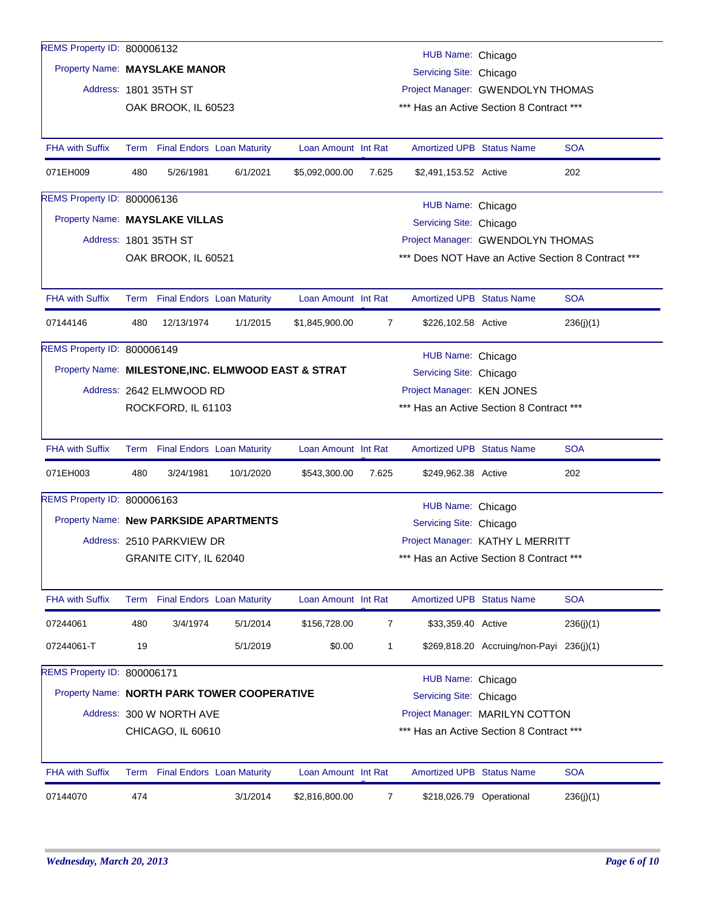| REMS Property ID: 800006132            |     |                           |                                                     |                     |                |                                              |                                                    |            |
|----------------------------------------|-----|---------------------------|-----------------------------------------------------|---------------------|----------------|----------------------------------------------|----------------------------------------------------|------------|
| Property Name: MAYSLAKE MANOR          |     |                           |                                                     |                     |                | HUB Name: Chicago<br>Servicing Site: Chicago |                                                    |            |
|                                        |     | Address: 1801 35TH ST     |                                                     |                     |                |                                              | Project Manager: GWENDOLYN THOMAS                  |            |
|                                        |     | OAK BROOK, IL 60523       |                                                     |                     |                |                                              | *** Has an Active Section 8 Contract ***           |            |
|                                        |     |                           |                                                     |                     |                |                                              |                                                    |            |
| <b>FHA with Suffix</b>                 |     |                           | Term Final Endors Loan Maturity                     | Loan Amount Int Rat |                | <b>Amortized UPB Status Name</b>             |                                                    | <b>SOA</b> |
| 071EH009                               | 480 | 5/26/1981                 | 6/1/2021                                            | \$5,092,000.00      | 7.625          | \$2,491,153.52 Active                        |                                                    | 202        |
| REMS Property ID: 800006136            |     |                           |                                                     |                     |                | HUB Name: Chicago                            |                                                    |            |
| Property Name: MAYSLAKE VILLAS         |     |                           |                                                     |                     |                | Servicing Site: Chicago                      |                                                    |            |
|                                        |     | Address: 1801 35TH ST     |                                                     |                     |                |                                              | Project Manager: GWENDOLYN THOMAS                  |            |
|                                        |     | OAK BROOK, IL 60521       |                                                     |                     |                |                                              | *** Does NOT Have an Active Section 8 Contract *** |            |
| <b>FHA with Suffix</b>                 |     |                           | Term Final Endors Loan Maturity                     | Loan Amount Int Rat |                | <b>Amortized UPB Status Name</b>             |                                                    | <b>SOA</b> |
| 07144146                               | 480 | 12/13/1974                | 1/1/2015                                            | \$1,845,900.00      | $\overline{7}$ | \$226,102.58 Active                          |                                                    | 236(j)(1)  |
| REMS Property ID: 800006149            |     |                           |                                                     |                     |                | HUB Name: Chicago                            |                                                    |            |
|                                        |     |                           | Property Name: MILESTONE, INC. ELMWOOD EAST & STRAT |                     |                | Servicing Site: Chicago                      |                                                    |            |
|                                        |     | Address: 2642 ELMWOOD RD  |                                                     |                     |                | Project Manager: KEN JONES                   |                                                    |            |
|                                        |     | ROCKFORD, IL 61103        |                                                     |                     |                |                                              | *** Has an Active Section 8 Contract ***           |            |
| <b>FHA with Suffix</b>                 |     |                           | Term Final Endors Loan Maturity                     | Loan Amount Int Rat |                | <b>Amortized UPB Status Name</b>             |                                                    | <b>SOA</b> |
| 071EH003                               | 480 | 3/24/1981                 | 10/1/2020                                           | \$543,300.00        | 7.625          | \$249,962.38 Active                          |                                                    | 202        |
| REMS Property ID: 800006163            |     |                           |                                                     |                     |                | HUB Name: Chicago                            |                                                    |            |
| Property Name: New PARKSIDE APARTMENTS |     |                           |                                                     |                     |                | Servicing Site: Chicago                      |                                                    |            |
|                                        |     | Address: 2510 PARKVIEW DR |                                                     |                     |                |                                              | Project Manager: KATHY L MERRITT                   |            |
|                                        |     | GRANITE CITY, IL 62040    |                                                     |                     |                |                                              | *** Has an Active Section 8 Contract ***           |            |
| <b>FHA with Suffix</b>                 |     |                           | Term Final Endors Loan Maturity                     | Loan Amount Int Rat |                | <b>Amortized UPB Status Name</b>             |                                                    | <b>SOA</b> |
| 07244061                               | 480 | 3/4/1974                  | 5/1/2014                                            | \$156,728.00        | $\overline{7}$ | \$33,359.40 Active                           |                                                    | 236(j)(1)  |
| 07244061-T                             | 19  |                           | 5/1/2019                                            | \$0.00              | $\mathbf{1}$   |                                              | \$269,818.20 Accruing/non-Payi 236(j)(1)           |            |
| REMS Property ID: 800006171            |     |                           |                                                     |                     |                | HUB Name: Chicago                            |                                                    |            |
|                                        |     |                           | Property Name: NORTH PARK TOWER COOPERATIVE         |                     |                | Servicing Site: Chicago                      |                                                    |            |
|                                        |     | Address: 300 W NORTH AVE  |                                                     |                     |                |                                              | Project Manager: MARILYN COTTON                    |            |
|                                        |     | CHICAGO, IL 60610         |                                                     |                     |                |                                              | *** Has an Active Section 8 Contract ***           |            |
| <b>FHA with Suffix</b>                 |     |                           | Term Final Endors Loan Maturity                     | Loan Amount Int Rat |                | Amortized UPB Status Name                    |                                                    | <b>SOA</b> |
|                                        |     |                           |                                                     |                     |                |                                              |                                                    |            |
| 07144070                               | 474 |                           | 3/1/2014                                            | \$2,816,800.00      | 7              |                                              | \$218,026.79 Operational                           | 236(j)(1)  |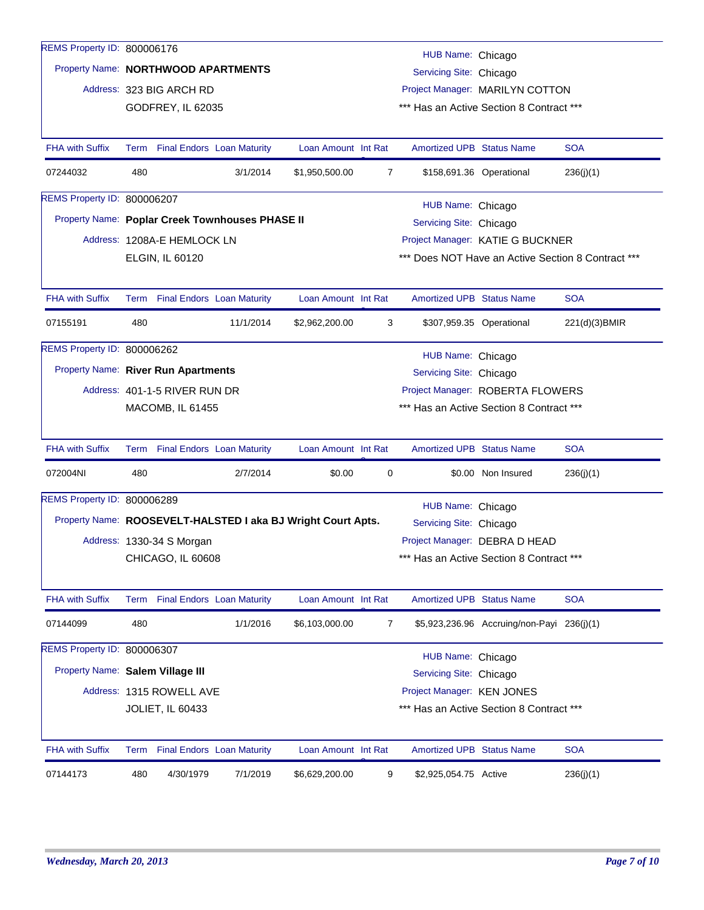| REMS Property ID: 800006176                     |     |                                 |           |                                                              |                |                                  |                                            |               |  |
|-------------------------------------------------|-----|---------------------------------|-----------|--------------------------------------------------------------|----------------|----------------------------------|--------------------------------------------|---------------|--|
|                                                 |     |                                 |           |                                                              |                | HUB Name: Chicago                |                                            |               |  |
| Property Name: NORTHWOOD APARTMENTS             |     |                                 |           |                                                              |                | Servicing Site: Chicago          |                                            |               |  |
|                                                 |     | Address: 323 BIG ARCH RD        |           |                                                              |                |                                  | Project Manager: MARILYN COTTON            |               |  |
|                                                 |     | GODFREY, IL 62035               |           |                                                              |                |                                  | *** Has an Active Section 8 Contract ***   |               |  |
| <b>FHA with Suffix</b>                          |     | Term Final Endors Loan Maturity |           | Loan Amount Int Rat                                          |                | <b>Amortized UPB Status Name</b> |                                            | <b>SOA</b>    |  |
| 07244032                                        | 480 |                                 | 3/1/2014  | \$1,950,500.00                                               | 7              |                                  | \$158,691.36 Operational                   | 236(j)(1)     |  |
| <b>REMS Property ID: 800006207</b>              |     |                                 |           |                                                              |                | HUB Name: Chicago                |                                            |               |  |
| Property Name: Poplar Creek Townhouses PHASE II |     |                                 |           |                                                              |                | Servicing Site: Chicago          |                                            |               |  |
|                                                 |     | Address: 1208A-E HEMLOCK LN     |           |                                                              |                |                                  | Project Manager: KATIE G BUCKNER           |               |  |
|                                                 |     | ELGIN, IL 60120                 |           | *** Does NOT Have an Active Section 8 Contract ***           |                |                                  |                                            |               |  |
|                                                 |     |                                 |           |                                                              |                |                                  |                                            |               |  |
| <b>FHA with Suffix</b>                          |     | Term Final Endors Loan Maturity |           | Loan Amount Int Rat                                          |                | <b>Amortized UPB Status Name</b> |                                            | <b>SOA</b>    |  |
| 07155191                                        | 480 |                                 | 11/1/2014 | \$2,962,200.00                                               | 3              |                                  | \$307,959.35 Operational                   | 221(d)(3)BMIR |  |
| <b>REMS Property ID: 800006262</b>              |     |                                 |           |                                                              |                | HUB Name: Chicago                |                                            |               |  |
| Property Name: River Run Apartments             |     |                                 |           |                                                              |                | Servicing Site: Chicago          |                                            |               |  |
|                                                 |     | Address: 401-1-5 RIVER RUN DR   |           |                                                              |                |                                  | Project Manager: ROBERTA FLOWERS           |               |  |
|                                                 |     | MACOMB, IL 61455                |           |                                                              |                |                                  | *** Has an Active Section 8 Contract ***   |               |  |
| <b>FHA with Suffix</b>                          |     | Term Final Endors Loan Maturity |           | Loan Amount Int Rat                                          |                | <b>Amortized UPB Status Name</b> |                                            | <b>SOA</b>    |  |
| 072004NI                                        | 480 |                                 | 2/7/2014  | \$0.00                                                       | 0              |                                  | \$0.00 Non Insured                         | 236(j)(1)     |  |
| REMS Property ID: 800006289                     |     |                                 |           |                                                              |                | HUB Name: Chicago                |                                            |               |  |
|                                                 |     |                                 |           | Property Name: ROOSEVELT-HALSTED I aka BJ Wright Court Apts. |                | Servicing Site: Chicago          |                                            |               |  |
|                                                 |     | Address: 1330-34 S Morgan       |           |                                                              |                |                                  | Project Manager: DEBRA D HEAD              |               |  |
|                                                 |     | CHICAGO, IL 60608               |           |                                                              |                |                                  | *** Has an Active Section 8 Contract ***   |               |  |
| <b>FHA with Suffix</b>                          |     | Term Final Endors Loan Maturity |           | Loan Amount Int Rat                                          |                | Amortized UPB Status Name        |                                            | <b>SOA</b>    |  |
| 07144099                                        | 480 |                                 | 1/1/2016  | \$6,103,000.00                                               | $\overline{7}$ |                                  | \$5,923,236.96 Accruing/non-Payi 236(j)(1) |               |  |
| REMS Property ID: 800006307                     |     |                                 |           |                                                              |                |                                  |                                            |               |  |
| Property Name: Salem Village III                |     |                                 |           |                                                              |                | HUB Name: Chicago                |                                            |               |  |
|                                                 |     |                                 |           |                                                              |                | Servicing Site: Chicago          |                                            |               |  |
|                                                 |     | Address: 1315 ROWELL AVE        |           |                                                              |                | Project Manager: KEN JONES       | *** Has an Active Section 8 Contract ***   |               |  |
|                                                 |     | <b>JOLIET, IL 60433</b>         |           |                                                              |                |                                  |                                            |               |  |
| <b>FHA with Suffix</b>                          |     | Term Final Endors Loan Maturity |           | Loan Amount Int Rat                                          |                | Amortized UPB Status Name        |                                            | <b>SOA</b>    |  |
| 07144173                                        | 480 | 4/30/1979                       | 7/1/2019  | \$6,629,200.00                                               | 9              | \$2,925,054.75 Active            |                                            | 236(j)(1)     |  |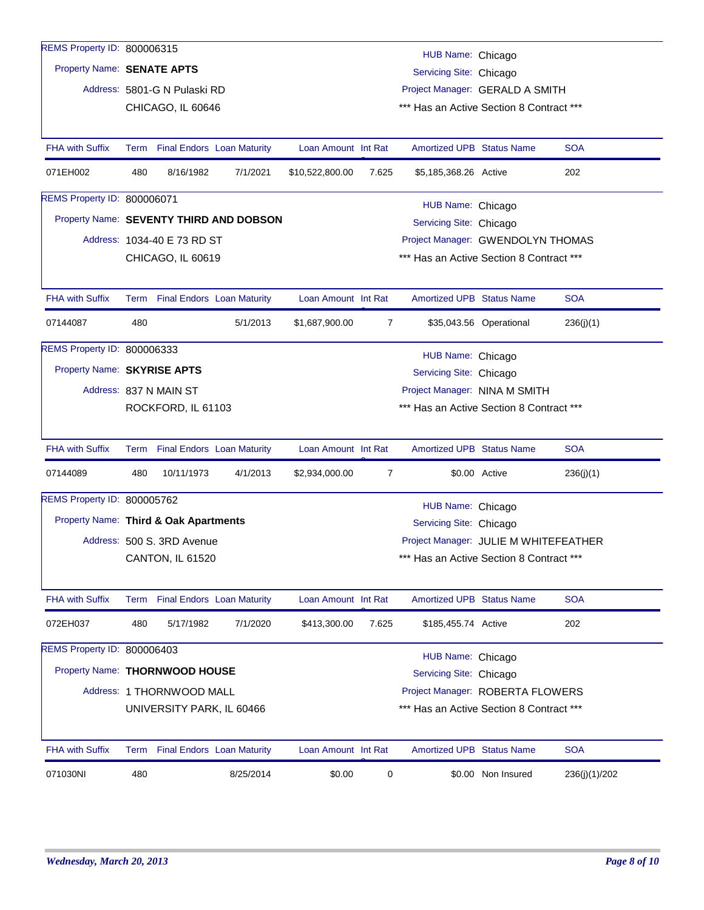| REMS Property ID: 800006315           |                                                               |                                 |                                         |                     |       |                                          |                         |               |
|---------------------------------------|---------------------------------------------------------------|---------------------------------|-----------------------------------------|---------------------|-------|------------------------------------------|-------------------------|---------------|
|                                       |                                                               |                                 |                                         |                     |       | HUB Name: Chicago                        |                         |               |
| Property Name: SENATE APTS            |                                                               |                                 |                                         |                     |       | Servicing Site: Chicago                  |                         |               |
|                                       |                                                               | Address: 5801-G N Pulaski RD    |                                         |                     |       | Project Manager: GERALD A SMITH          |                         |               |
|                                       |                                                               | CHICAGO, IL 60646               |                                         |                     |       | *** Has an Active Section 8 Contract *** |                         |               |
|                                       |                                                               |                                 |                                         |                     |       |                                          |                         |               |
| <b>FHA with Suffix</b>                | Term                                                          |                                 | <b>Final Endors Loan Maturity</b>       | Loan Amount Int Rat |       | <b>Amortized UPB Status Name</b>         |                         | <b>SOA</b>    |
| 071EH002                              | 480                                                           | 8/16/1982                       | 7/1/2021                                | \$10,522,800.00     | 7.625 | \$5,185,368.26 Active                    |                         | 202           |
| <b>REMS Property ID: 800006071</b>    |                                                               |                                 |                                         |                     |       | HUB Name: Chicago                        |                         |               |
|                                       |                                                               |                                 | Property Name: SEVENTY THIRD AND DOBSON |                     |       | Servicing Site: Chicago                  |                         |               |
|                                       |                                                               | Address: 1034-40 E 73 RD ST     |                                         |                     |       | Project Manager: GWENDOLYN THOMAS        |                         |               |
|                                       | *** Has an Active Section 8 Contract ***<br>CHICAGO, IL 60619 |                                 |                                         |                     |       |                                          |                         |               |
|                                       |                                                               |                                 |                                         |                     |       |                                          |                         |               |
| <b>FHA with Suffix</b>                |                                                               | Term Final Endors Loan Maturity |                                         | Loan Amount Int Rat |       | <b>Amortized UPB Status Name</b>         |                         | <b>SOA</b>    |
| 07144087                              | 480                                                           |                                 | 5/1/2013                                | \$1,687,900.00      | 7     |                                          | \$35,043.56 Operational | 236(j)(1)     |
| <b>REMS Property ID: 800006333</b>    |                                                               |                                 |                                         |                     |       | HUB Name: Chicago                        |                         |               |
| Property Name: SKYRISE APTS           |                                                               |                                 |                                         |                     |       | Servicing Site: Chicago                  |                         |               |
|                                       |                                                               | Address: 837 N MAIN ST          |                                         |                     |       | Project Manager: NINA M SMITH            |                         |               |
|                                       |                                                               | ROCKFORD, IL 61103              |                                         |                     |       | *** Has an Active Section 8 Contract *** |                         |               |
|                                       |                                                               |                                 |                                         |                     |       |                                          |                         |               |
| <b>FHA with Suffix</b>                | Term                                                          |                                 | <b>Final Endors Loan Maturity</b>       | Loan Amount Int Rat |       | <b>Amortized UPB Status Name</b>         |                         | <b>SOA</b>    |
| 07144089                              | 480                                                           | 10/11/1973                      | 4/1/2013                                | \$2,934,000.00      | 7     |                                          | \$0.00 Active           | 236(j)(1)     |
| REMS Property ID: 800005762           |                                                               |                                 |                                         |                     |       | HUB Name: Chicago                        |                         |               |
| Property Name: Third & Oak Apartments |                                                               |                                 |                                         |                     |       | Servicing Site: Chicago                  |                         |               |
|                                       |                                                               | Address: 500 S. 3RD Avenue      |                                         |                     |       | Project Manager: JULIE M WHITEFEATHER    |                         |               |
|                                       |                                                               | CANTON, IL 61520                |                                         |                     |       | *** Has an Active Section 8 Contract *** |                         |               |
|                                       |                                                               |                                 |                                         |                     |       |                                          |                         |               |
| <b>FHA with Suffix</b>                |                                                               | Term Final Endors Loan Maturity |                                         | Loan Amount Int Rat |       | <b>Amortized UPB Status Name</b>         |                         | <b>SOA</b>    |
| 072EH037                              | 480                                                           | 5/17/1982                       | 7/1/2020                                | \$413,300.00        | 7.625 | \$185,455.74 Active                      |                         | 202           |
| REMS Property ID: 800006403           |                                                               |                                 |                                         |                     |       | HUB Name: Chicago                        |                         |               |
| Property Name: THORNWOOD HOUSE        |                                                               |                                 |                                         |                     |       | Servicing Site: Chicago                  |                         |               |
|                                       |                                                               | Address: 1 THORNWOOD MALL       |                                         |                     |       | Project Manager: ROBERTA FLOWERS         |                         |               |
|                                       |                                                               | UNIVERSITY PARK, IL 60466       |                                         |                     |       | *** Has an Active Section 8 Contract *** |                         |               |
|                                       |                                                               |                                 |                                         |                     |       |                                          |                         |               |
| <b>FHA with Suffix</b>                | Term                                                          |                                 | <b>Final Endors Loan Maturity</b>       | Loan Amount Int Rat |       | Amortized UPB Status Name                |                         | <b>SOA</b>    |
| 071030NI                              | 480                                                           |                                 | 8/25/2014                               | \$0.00              | 0     |                                          | \$0.00 Non Insured      | 236(j)(1)/202 |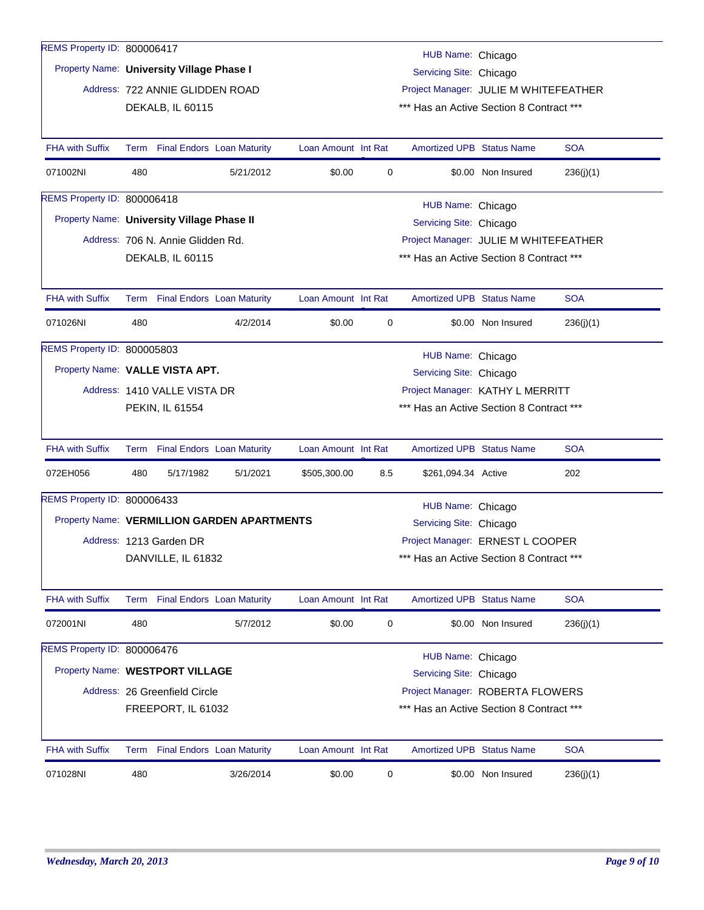| REMS Property ID: 800006417                |                                                                                 |                                   |                                             |                     |                     |                                          |                    |            |  |
|--------------------------------------------|---------------------------------------------------------------------------------|-----------------------------------|---------------------------------------------|---------------------|---------------------|------------------------------------------|--------------------|------------|--|
|                                            |                                                                                 |                                   |                                             |                     |                     | HUB Name: Chicago                        |                    |            |  |
| Property Name: University Village Phase I  |                                                                                 |                                   |                                             |                     |                     | Servicing Site: Chicago                  |                    |            |  |
|                                            |                                                                                 | Address: 722 ANNIE GLIDDEN ROAD   |                                             |                     |                     | Project Manager: JULIE M WHITEFEATHER    |                    |            |  |
|                                            |                                                                                 | DEKALB, IL 60115                  |                                             |                     |                     | *** Has an Active Section 8 Contract *** |                    |            |  |
|                                            |                                                                                 |                                   |                                             |                     |                     |                                          |                    |            |  |
| <b>FHA with Suffix</b>                     |                                                                                 | Term Final Endors Loan Maturity   |                                             | Loan Amount Int Rat |                     | <b>Amortized UPB Status Name</b>         |                    | <b>SOA</b> |  |
| 071002NI                                   | 480                                                                             |                                   | 5/21/2012                                   | \$0.00              | 0                   |                                          | \$0.00 Non Insured | 236(j)(1)  |  |
| <b>REMS Property ID: 800006418</b>         |                                                                                 |                                   |                                             |                     |                     | HUB Name: Chicago                        |                    |            |  |
| Property Name: University Village Phase II |                                                                                 |                                   |                                             |                     |                     | Servicing Site: Chicago                  |                    |            |  |
|                                            |                                                                                 | Address: 706 N. Annie Glidden Rd. |                                             |                     |                     | Project Manager: JULIE M WHITEFEATHER    |                    |            |  |
|                                            | *** Has an Active Section 8 Contract ***<br>DEKALB, IL 60115                    |                                   |                                             |                     |                     |                                          |                    |            |  |
|                                            |                                                                                 |                                   |                                             |                     |                     |                                          |                    |            |  |
| <b>FHA with Suffix</b>                     |                                                                                 | Term Final Endors Loan Maturity   |                                             | Loan Amount Int Rat |                     | <b>Amortized UPB Status Name</b>         |                    | <b>SOA</b> |  |
| 071026NI                                   | 480                                                                             |                                   | 4/2/2014                                    | \$0.00              | 0                   |                                          | \$0.00 Non Insured | 236(j)(1)  |  |
| <b>REMS Property ID: 800005803</b>         |                                                                                 |                                   |                                             |                     |                     |                                          |                    |            |  |
|                                            | HUB Name: Chicago<br>Property Name: VALLE VISTA APT.<br>Servicing Site: Chicago |                                   |                                             |                     |                     |                                          |                    |            |  |
|                                            | Address: 1410 VALLE VISTA DR<br>Project Manager: KATHY L MERRITT                |                                   |                                             |                     |                     |                                          |                    |            |  |
|                                            |                                                                                 | PEKIN, IL 61554                   |                                             |                     |                     | *** Has an Active Section 8 Contract *** |                    |            |  |
|                                            |                                                                                 |                                   |                                             |                     |                     |                                          |                    |            |  |
| <b>FHA with Suffix</b>                     |                                                                                 | Term Final Endors Loan Maturity   |                                             | Loan Amount Int Rat |                     | <b>Amortized UPB Status Name</b>         |                    | <b>SOA</b> |  |
| 072EH056                                   | 480                                                                             | 5/17/1982                         | 5/1/2021                                    | \$505,300.00        | 8.5                 | \$261,094.34 Active                      |                    | 202        |  |
| REMS Property ID: 800006433                |                                                                                 |                                   |                                             |                     |                     | HUB Name: Chicago                        |                    |            |  |
|                                            |                                                                                 |                                   | Property Name: VERMILLION GARDEN APARTMENTS |                     |                     | Servicing Site: Chicago                  |                    |            |  |
|                                            |                                                                                 | Address: 1213 Garden DR           |                                             |                     |                     | Project Manager: ERNEST L COOPER         |                    |            |  |
|                                            |                                                                                 | DANVILLE, IL 61832                |                                             |                     |                     | *** Has an Active Section 8 Contract *** |                    |            |  |
|                                            |                                                                                 |                                   |                                             |                     |                     |                                          |                    |            |  |
| <b>FHA with Suffix</b>                     |                                                                                 | Term Final Endors Loan Maturity   |                                             | Loan Amount Int Rat |                     | <b>Amortized UPB Status Name</b>         |                    | <b>SOA</b> |  |
| 072001NI                                   | 480                                                                             |                                   | 5/7/2012                                    | \$0.00              | $\mathsf{O}\xspace$ |                                          | \$0.00 Non Insured | 236(j)(1)  |  |
| REMS Property ID: 800006476                |                                                                                 |                                   |                                             |                     |                     | HUB Name: Chicago                        |                    |            |  |
| Property Name: WESTPORT VILLAGE            |                                                                                 |                                   |                                             |                     |                     | Servicing Site: Chicago                  |                    |            |  |
|                                            |                                                                                 | Address: 26 Greenfield Circle     |                                             |                     |                     | Project Manager: ROBERTA FLOWERS         |                    |            |  |
|                                            |                                                                                 | FREEPORT, IL 61032                |                                             |                     |                     | *** Has an Active Section 8 Contract *** |                    |            |  |
|                                            |                                                                                 |                                   |                                             |                     |                     |                                          |                    |            |  |
| <b>FHA with Suffix</b>                     | Term                                                                            | <b>Final Endors Loan Maturity</b> |                                             | Loan Amount Int Rat |                     | Amortized UPB Status Name                |                    | <b>SOA</b> |  |
| 071028NI                                   | 480                                                                             |                                   | 3/26/2014                                   | \$0.00              | 0                   |                                          | \$0.00 Non Insured | 236(j)(1)  |  |